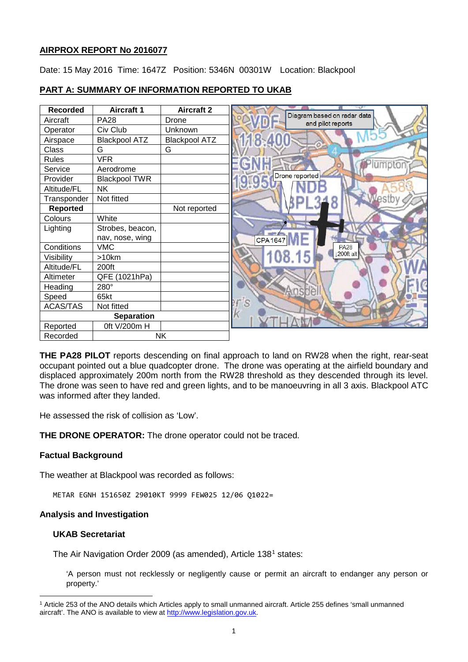# **AIRPROX REPORT No 2016077**

Date: 15 May 2016 Time: 1647Z Position: 5346N 00301W Location: Blackpool

# **PART A: SUMMARY OF INFORMATION REPORTED TO UKAB**

| <b>Recorded</b>   | <b>Aircraft 1</b>    | <b>Aircraft 2</b>    | ಾ                                                |
|-------------------|----------------------|----------------------|--------------------------------------------------|
| Aircraft          | <b>PA28</b>          | Drone                | Diagram based on radar data<br>and pilot reports |
| Operator          | Civ Club             | Unknown              |                                                  |
| Airspace          | <b>Blackpool ATZ</b> | <b>Blackpool ATZ</b> |                                                  |
| Class             | G                    | G                    |                                                  |
| <b>Rules</b>      | <b>VFR</b>           |                      |                                                  |
| Service           | Aerodrome            |                      | mpton                                            |
| Provider          | <b>Blackpool TWR</b> |                      | Drone reported                                   |
| Altitude/FL       | NΚ                   |                      |                                                  |
| Transponder       | Not fitted           |                      |                                                  |
| Reported          |                      | Not reported         |                                                  |
| Colours           | White                |                      |                                                  |
| Lighting          | Strobes, beacon,     |                      |                                                  |
|                   | nav, nose, wing      |                      | <b>CPA 1647</b>                                  |
| Conditions        | <b>VMC</b>           |                      | <b>PA28</b>                                      |
| Visibility        | >10km                |                      | 200ft alt                                        |
| Altitude/FL       | 200ft                |                      |                                                  |
| Altimeter         | QFE (1021hPa)        |                      |                                                  |
| Heading           | 280°                 |                      |                                                  |
| Speed             | 65kt                 |                      |                                                  |
| <b>ACAS/TAS</b>   | Not fitted           |                      |                                                  |
| <b>Separation</b> |                      |                      |                                                  |
| Reported          | 0ft V/200m H         |                      |                                                  |
| Recorded          | <b>NK</b>            |                      |                                                  |

**THE PA28 PILOT** reports descending on final approach to land on RW28 when the right, rear-seat occupant pointed out a blue quadcopter drone. The drone was operating at the airfield boundary and displaced approximately 200m north from the RW28 threshold as they descended through its level. The drone was seen to have red and green lights, and to be manoeuvring in all 3 axis. Blackpool ATC was informed after they landed.

He assessed the risk of collision as 'Low'.

**THE DRONE OPERATOR:** The drone operator could not be traced.

# **Factual Background**

The weather at Blackpool was recorded as follows:

METAR EGNH 151650Z 29010KT 9999 FEW025 12/06 Q1022=

### **Analysis and Investigation**

### **UKAB Secretariat**

l

The Air Navigation Order 2009 (as amended), Article 138[1](#page-0-0) states:

'A person must not recklessly or negligently cause or permit an aircraft to endanger any person or property.'

<span id="page-0-0"></span><sup>1</sup> Article 253 of the ANO details which Articles apply to small unmanned aircraft. Article 255 defines 'small unmanned aircraft'. The ANO is available to view at [http://www.legislation.gov.uk.](http://www.legislation.gov.uk/)